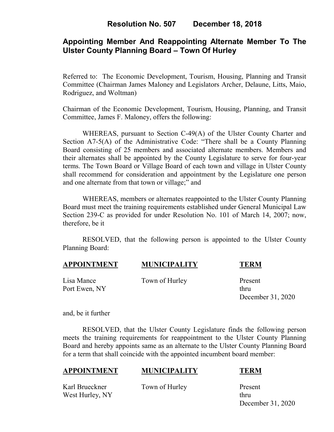# **Resolution No. 507 December 18, 2018**

# **Appointing Member And Reappointing Alternate Member To The Ulster County Planning Board – Town Of Hurley**

Referred to: The Economic Development, Tourism, Housing, Planning and Transit Committee (Chairman James Maloney and Legislators Archer, Delaune, Litts, Maio, Rodriguez, and Woltman)

Chairman of the Economic Development, Tourism, Housing, Planning, and Transit Committee, James F. Maloney, offers the following:

WHEREAS, pursuant to Section C-49(A) of the Ulster County Charter and Section A7-5(A) of the Administrative Code: "There shall be a County Planning Board consisting of 25 members and associated alternate members. Members and their alternates shall be appointed by the County Legislature to serve for four-year terms. The Town Board or Village Board of each town and village in Ulster County shall recommend for consideration and appointment by the Legislature one person and one alternate from that town or village;" and

WHEREAS, members or alternates reappointed to the Ulster County Planning Board must meet the training requirements established under General Municipal Law Section 239-C as provided for under Resolution No. 101 of March 14, 2007; now, therefore, be it

RESOLVED, that the following person is appointed to the Ulster County Planning Board:

| <b>APPOINTMENT</b> | <b>MUNICIPALITY</b> | <b>TERM</b> |
|--------------------|---------------------|-------------|
| Lisa Mance         | Town of Hurley      | Present     |
| Port Ewen, NY      |                     | thru        |

December 31, 2020

and, be it further

RESOLVED, that the Ulster County Legislature finds the following person meets the training requirements for reappointment to the Ulster County Planning Board and hereby appoints same as an alternate to the Ulster County Planning Board for a term that shall coincide with the appointed incumbent board member:

### **APPOINTMENT MUNICIPALITY TERM**

Karl Brueckner Town of Hurley Present

West Hurley, NY thru December 31, 2020